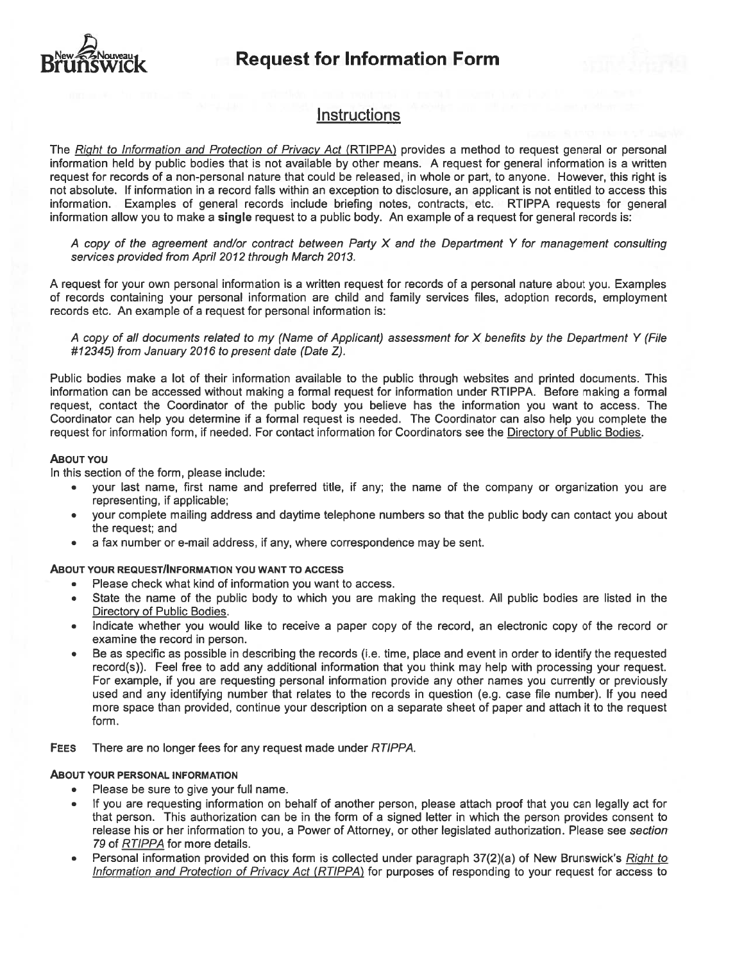

### **Instructions**

The Right to Information and Protection of Privacy Act (RTIPPA) provides a method to request general or personal information held by public bodies that is not available by other means. A request for general information is a written request for records of a non-personal nature that could be released, in whole or part, to anyone. However, this right is not absolute. If information in a record falls within an exception to disclosure, an applicant is not entitled to access this information. Examples of general records inciude briefing notes, contracts, etc. RTIPPA requests for general information allow you to make <sup>a</sup> single reques<sup>t</sup> to <sup>a</sup> public body. An example of <sup>a</sup> reques<sup>t</sup> for general records is:

A copy of the agreement and/or contract between Party X and the Department Y for management consulting services provided from April 2012 through March 2013.

A reques<sup>t</sup> for your own personal information is <sup>a</sup> written reques<sup>t</sup> for records of <sup>a</sup> personal nature about you. Examples of records containing your personal information are child and family services files, adoption records, employment records etc. An example of a request for personal information is:

A copy of all documents related to my (Name of Applicant) assessment for X benefits by the Department Y (File #72345) from January 2016 to presen<sup>t</sup> date (Date Z).

Public bodies make <sup>a</sup> lot of their information availabie to the public through websites and printed documents. This information can be accessed without making <sup>a</sup> formai reques<sup>t</sup> for information under RIIPPA. Before making <sup>a</sup> formai request, contact the Coordinator of the public body you believe has the information you want to access. The Coordinator can help you determine if <sup>a</sup> formai reques<sup>t</sup> is needed. The Coordinator can also help you complete the reques<sup>t</sup> for information form, if needed. For contact information for Coordinators see the Directory of Public Bodies.

#### ABOUT YOU

In this section of the form, please include:

- • your last name, first name and preferred title, if any; the name of the company or organization you are representing, if applicable;
- • your complete mailing address and daytime telephone numbers so that the public body can contact you about the request; and
- •<sup>a</sup> fax number or e-mail address, if any, where correspondence may be sent.

#### ABOUT YOUR REQUEST/INFORMATION YOU WANT TO ACCESS

- •Please check what kind of information you want to access.
- State the name of the public body to which you are making the request. Ail public bodies are Iisted in the Directory of Public Bodies.
- • Indicate whether you would like to receive <sup>a</sup> paper copy of the record, an electronic copy of the record or examine the record in person.
- Be as specific as possible in describing the records (i.e. time, place and event in order to identify the requested record(s)). Feel free to add any additional information that you think may help with processing your request. For example, if you are requesting personal information provide any other names you currently or previously used and any identifying number that relates to the records in question (e.g. case file number). If you need more space than provided, continue your description on a separate sheet of paper and attach it to the request form.

FEES There are no longer fees for any request made under RTIPPA.

#### ABOUT YOUR PERSONAL INFORMATION

- •Please be sure to give your full name.
- • If you are requesting information on behalf of another person, please attach proof that you can legally act for that person. This authorization can be in the form of <sup>a</sup> signed letter in which the person provides consent to release his or her information to you, <sup>a</sup> Power of Attorney, or other legislated authorization. Please see section 79 of RT1PPA for more details.
- •Personal information provided on this form is collected under paragraph 37(2)(a) of New Brunswick's Right to Information and Protection of Privacy Act (RTIPPA) for purposes of responding to your request for access to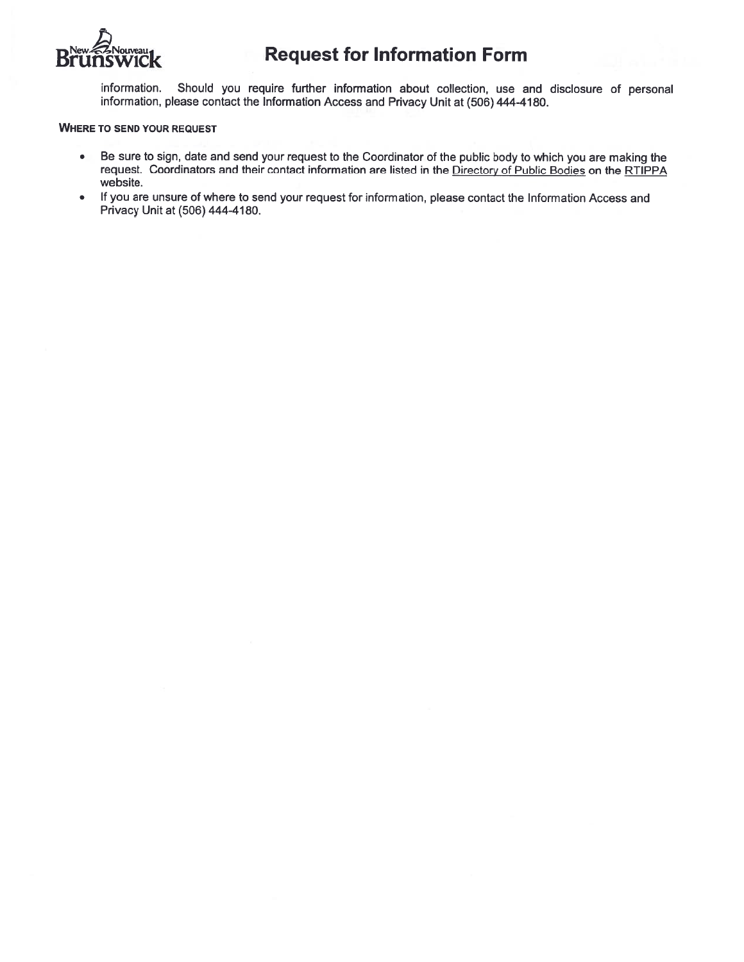

information.. Should you require further information about collection, use and disclosure of personal information, <sup>p</sup>lease contact the Information Access and Privacy Unit at (506) 444-4180.

#### WHERE TO SEND YOUR REQUEST

- Be sure to sign, date and send your reques<sup>t</sup> to the Coordinator of the public body to which you are making the request. Coordinators and their contact information are listed in the Directory of Public Bodies on the RTIPPA website.
- • If you are unsure of where to send your reques<sup>t</sup> for information, please contact the Information Access and Privacy Unit at (506) 444-4180.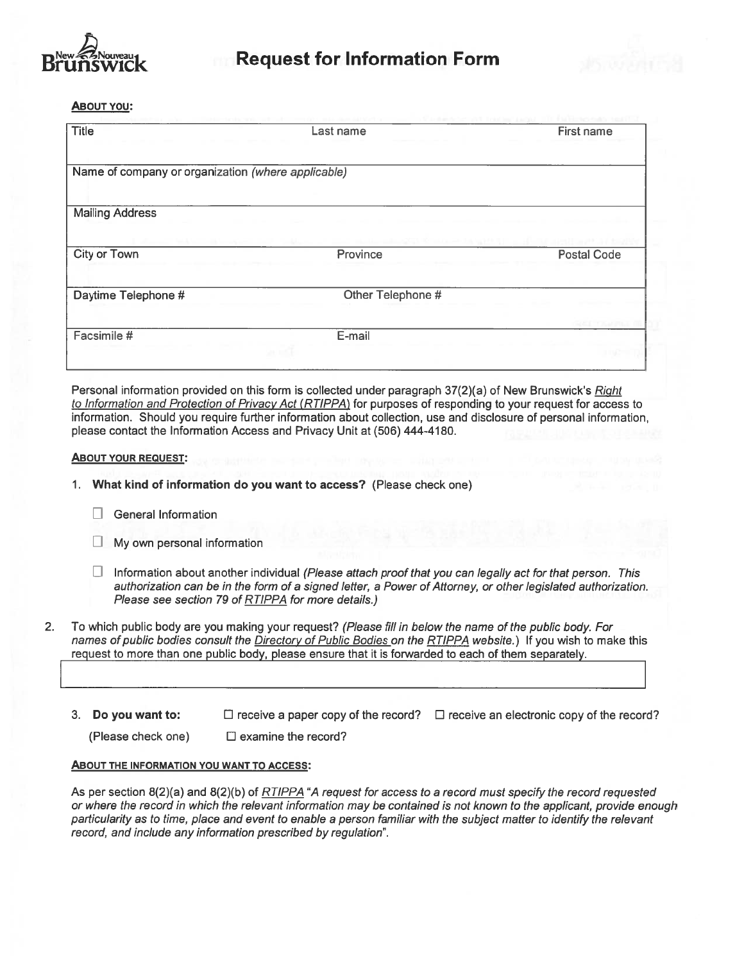



ABOUT YOU:

| <b>Title</b>                                       | Last name                                | First name         |
|----------------------------------------------------|------------------------------------------|--------------------|
|                                                    |                                          |                    |
| Name of company or organization (where applicable) |                                          |                    |
| <b>Mailing Address</b>                             |                                          |                    |
|                                                    | <b>ICIN ID (also and fire large a</b> rt |                    |
| City or Town                                       | Province                                 | <b>Postal Code</b> |
| Daytime Telephone #                                | Other Telephone #                        |                    |
|                                                    |                                          |                    |
| Facsimile #                                        | E-mail                                   |                    |
|                                                    |                                          |                    |

Personal information provided on this form is collected under paragraph 37(2)(a) of New Brunswick's Right to Information and Protection of Privacy Act (RTIPPA) for purposes of responding to your request for access to information. Should you require further information about collection, use and disclosure of personal information, please contact the Information Access and Privacy Unit at (506) 444-4180.

#### ABOUT YOUR REQUEST:

- 1. What kind of information do you want to access? (Please check one)
	- $\Box$  General Information
	- $\Box$  My own personal information
	- $\Box$  Information about another individual (Please attach proof that you can legally act for that person. This authorization can be in the form of a signed letter, a Power of Attorney, or other legislated authorization. Please see section 79 of RTIPPA for more details.)
- 2. To which public body are you making your request? (Please fill in below the name of the public body. For names of public bodies consult the Directory of Public Bodies on the RTIPPA website.) If you wish to make this regues<sup>t</sup> to more than one public body, please ensure that it is forwarded to each of them separately.
	- 3. Do you want to:  $\square$  receive a paper copy of the record?  $\square$  receive an electronic copy of the record?

(Please check one)  $\Box$  examine the record?

#### ABOUT THE INFORMATION YOU WANT TO ACCESS:

As per section  $8(2)(a)$  and  $8(2)(b)$  of  $RTIPPA$  "A request for access to a record must specify the record requested or where the record in which the relevant information may be contained is not known to the applicant, provide enough particularity as to time, place and event to enable a person familiar with the subject matter to identify the relevant record, and include any information prescribed by regulation".